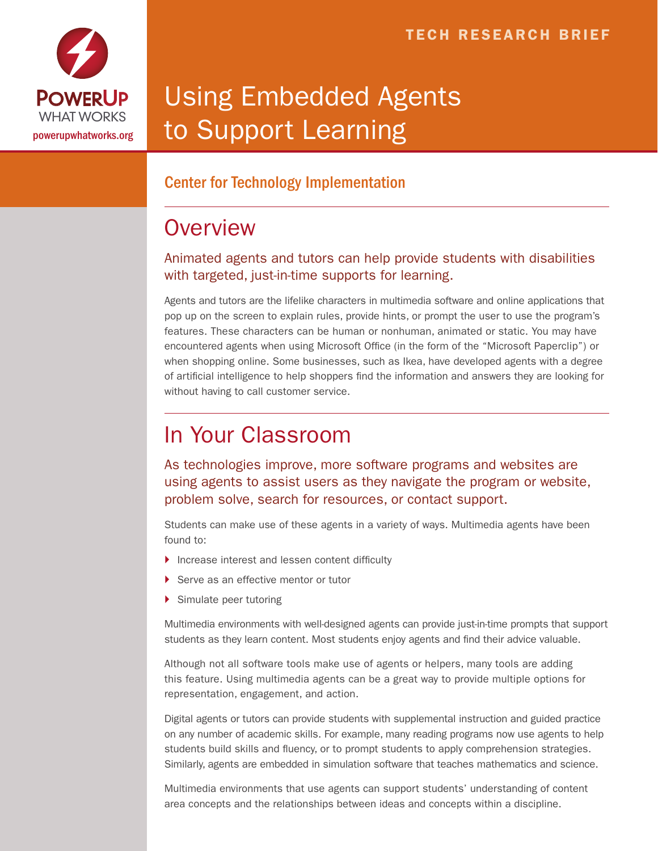

# Using Embedded Agents to Support Learning

#### Center for Technology Implementation

## **Overview**

#### Animated agents and tutors can help provide students with disabilities with targeted, just-in-time supports for learning.

Agents and tutors are the lifelike characters in multimedia software and online applications that pop up on the screen to explain rules, provide hints, or prompt the user to use the program's features. These characters can be human or nonhuman, animated or static. You may have encountered agents when using Microsoft Office (in the form of the "Microsoft Paperclip") or when shopping online. Some businesses, such as Ikea, have developed agents with a degree of artificial intelligence to help shoppers find the information and answers they are looking for without having to call customer service.

## In Your Classroom

As technologies improve, more software programs and websites are using agents to assist users as they navigate the program or website, problem solve, search for resources, or contact support.

Students can make use of these agents in a variety of ways. Multimedia agents have been found to:

- ▶ Increase interest and lessen content difficulty
- Serve as an effective mentor or tutor
- ▶ Simulate peer tutoring

Multimedia environments with well-designed agents can provide just-in-time prompts that support students as they learn content. Most students enjoy agents and find their advice valuable.

Although not all software tools make use of agents or helpers, many tools are adding this feature. Using multimedia agents can be a great way to provide multiple options for representation, engagement, and action.

Digital agents or tutors can provide students with supplemental instruction and guided practice on any number of academic skills. For example, many reading programs now use agents to help students build skills and fluency, or to prompt students to apply comprehension strategies. Similarly, agents are embedded in simulation software that teaches mathematics and science.

Multimedia environments that use agents can support students' understanding of content area concepts and the relationships between ideas and concepts within a discipline.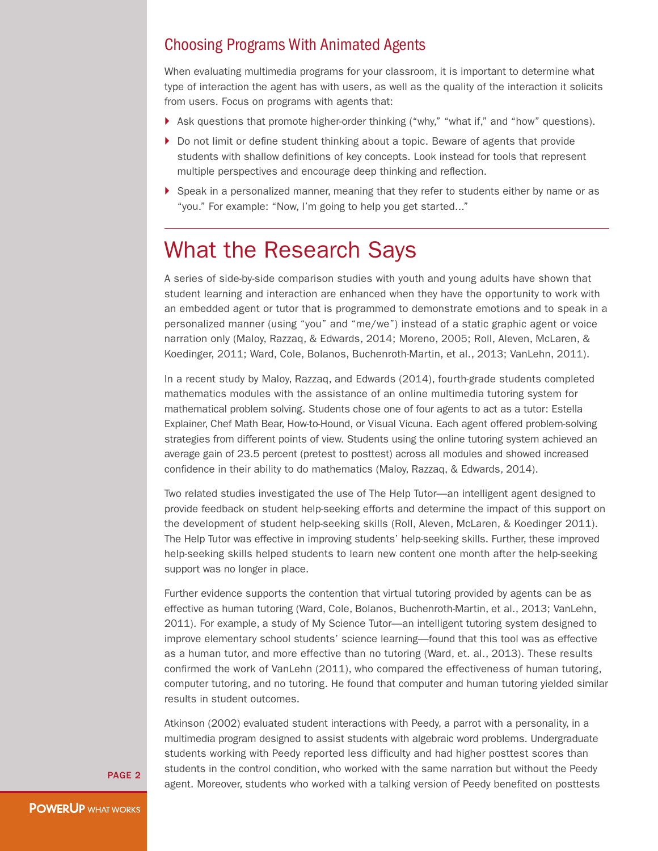#### Choosing Programs With Animated Agents

When evaluating multimedia programs for your classroom, it is important to determine what type of interaction the agent has with users, as well as the quality of the interaction it solicits from users. Focus on programs with agents that:

- } Ask questions that promote higher-order thinking ("why," "what if," and "how" questions).
- } Do not limit or define student thinking about a topic. Beware of agents that provide students with shallow definitions of key concepts. Look instead for tools that represent multiple perspectives and encourage deep thinking and reflection.
- } Speak in a personalized manner, meaning that they refer to students either by name or as "you." For example: "Now, I'm going to help you get started..."

### What the Research Says

A series of side-by-side comparison studies with youth and young adults have shown that student learning and interaction are enhanced when they have the opportunity to work with an embedded agent or tutor that is programmed to demonstrate emotions and to speak in a personalized manner (using "you" and "me/we") instead of a static graphic agent or voice narration only (Maloy, Razzaq, & Edwards, 2014; Moreno, 2005; Roll, Aleven, McLaren, & Koedinger, 2011; Ward, Cole, Bolanos, Buchenroth-Martin, et al., 2013; VanLehn, 2011).

In a recent study by Maloy, Razzaq, and Edwards (2014), fourth-grade students completed mathematics modules with the assistance of an online multimedia tutoring system for mathematical problem solving. Students chose one of four agents to act as a tutor: Estella Explainer, Chef Math Bear, How-to-Hound, or Visual Vicuna. Each agent offered problem-solving strategies from different points of view. Students using the online tutoring system achieved an average gain of 23.5 percent (pretest to posttest) across all modules and showed increased confidence in their ability to do mathematics (Maloy, Razzaq, & Edwards, 2014).

Two related studies investigated the use of The Help Tutor—an intelligent agent designed to provide feedback on student help-seeking efforts and determine the impact of this support on the development of student help-seeking skills (Roll, Aleven, McLaren, & Koedinger 2011). The Help Tutor was effective in improving students' help-seeking skills. Further, these improved help-seeking skills helped students to learn new content one month after the help-seeking support was no longer in place.

Further evidence supports the contention that virtual tutoring provided by agents can be as effective as human tutoring (Ward, Cole, Bolanos, Buchenroth-Martin, et al., 2013; VanLehn, 2011). For example, a study of My Science Tutor—an intelligent tutoring system designed to improve elementary school students' science learning—found that this tool was as effective as a human tutor, and more effective than no tutoring (Ward, et. al., 2013). These results confirmed the work of VanLehn (2011), who compared the effectiveness of human tutoring, computer tutoring, and no tutoring. He found that computer and human tutoring yielded similar results in student outcomes.

Atkinson (2002) evaluated student interactions with Peedy, a parrot with a personality, in a multimedia program designed to assist students with algebraic word problems. Undergraduate students working with Peedy reported less difficulty and had higher posttest scores than students in the control condition, who worked with the same narration but without the Peedy agent. Moreover, students who worked with a talking version of Peedy benefited on posttests

PAGE 2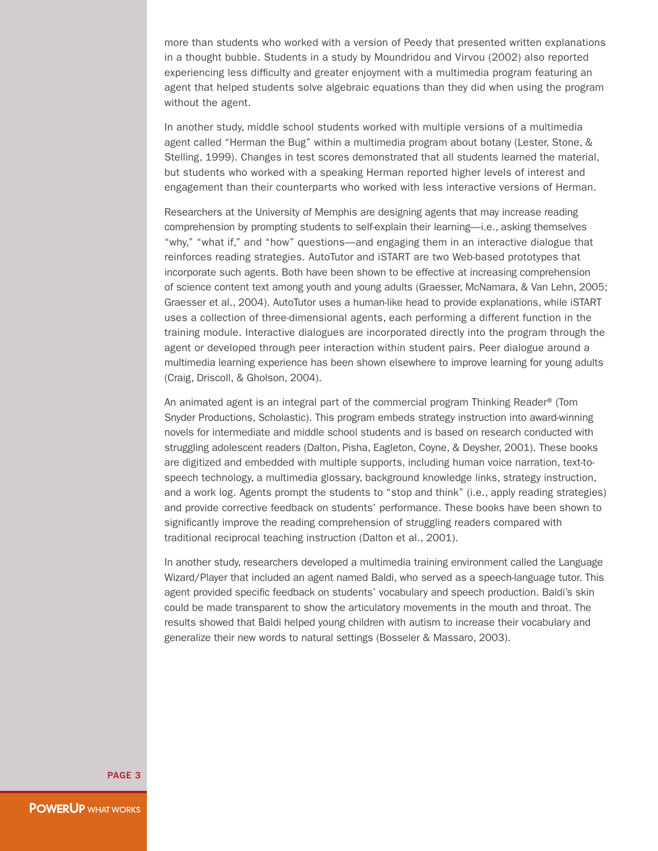more than students who worked with a version of Peedy that presented written explanations in a thought bubble. Students in a study by Moundridou and Virvou (2002) also reported experiencing less difficulty and greater enjoyment with a multimedia program featuring an agent that helped students solve algebraic equations than they did when using the program without the agent.

In another study, middle school students worked with multiple versions of a multimedia agent called "Herman the Bug" within a multimedia program about botany (Lester, Stone, & Stelling, 1999). Changes in test scores demonstrated that all students learned the material, but students who worked with a speaking Herman reported higher levels of interest and engagement than their counterparts who worked with less interactive versions of Herman.

Researchers at the University of Memphis are designing agents that may increase reading comprehension by prompting students to self-explain their learning—i.e., asking themselves "why," "what if," and "how" questions—and engaging them in an interactive dialogue that reinforces reading strategies. AutoTutor and iSTART are two Web-based prototypes that incorporate such agents. Both have been shown to be effective at increasing comprehension of science content text among youth and young adults (Graesser, McNamara, & Van Lehn, 2005; Graesser et al., 2004). AutoTutor uses a human-like head to provide explanations, while iSTART uses a collection of three-dimensional agents, each performing a different function in the training module. Interactive dialogues are incorporated directly into the program through the agent or developed through peer interaction within student pairs. Peer dialogue around a multimedia learning experience has been shown elsewhere to improve learning for young adults (Craig, Driscoll, & Gholson, 2004).

An animated agent is an integral part of the commercial program Thinking Reader® (Tom Snyder Productions, Scholastic). This program embeds strategy instruction into award-winning novels for intermediate and middle school students and is based on research conducted with struggling adolescent readers (Dalton, Pisha, Eagleton, Coyne, & Deysher, 2001). These books are digitized and embedded with multiple supports, including human voice narration, text-tospeech technology, a multimedia glossary, background knowledge links, strategy instruction, and a work log. Agents prompt the students to "stop and think" (i.e., apply reading strategies) and provide corrective feedback on students' performance. These books have been shown to significantly improve the reading comprehension of struggling readers compared with traditional reciprocal teaching instruction (Dalton et al., 2001).

In another study, researchers developed a multimedia training environment called the Language Wizard/Player that included an agent named Baldi, who served as a speech-language tutor. This agent provided specific feedback on students' vocabulary and speech production. Baldi's skin could be made transparent to show the articulatory movements in the mouth and throat. The results showed that Baldi helped young children with autism to increase their vocabulary and generalize their new words to natural settings (Bosseler & Massaro, 2003).

PAGE 3